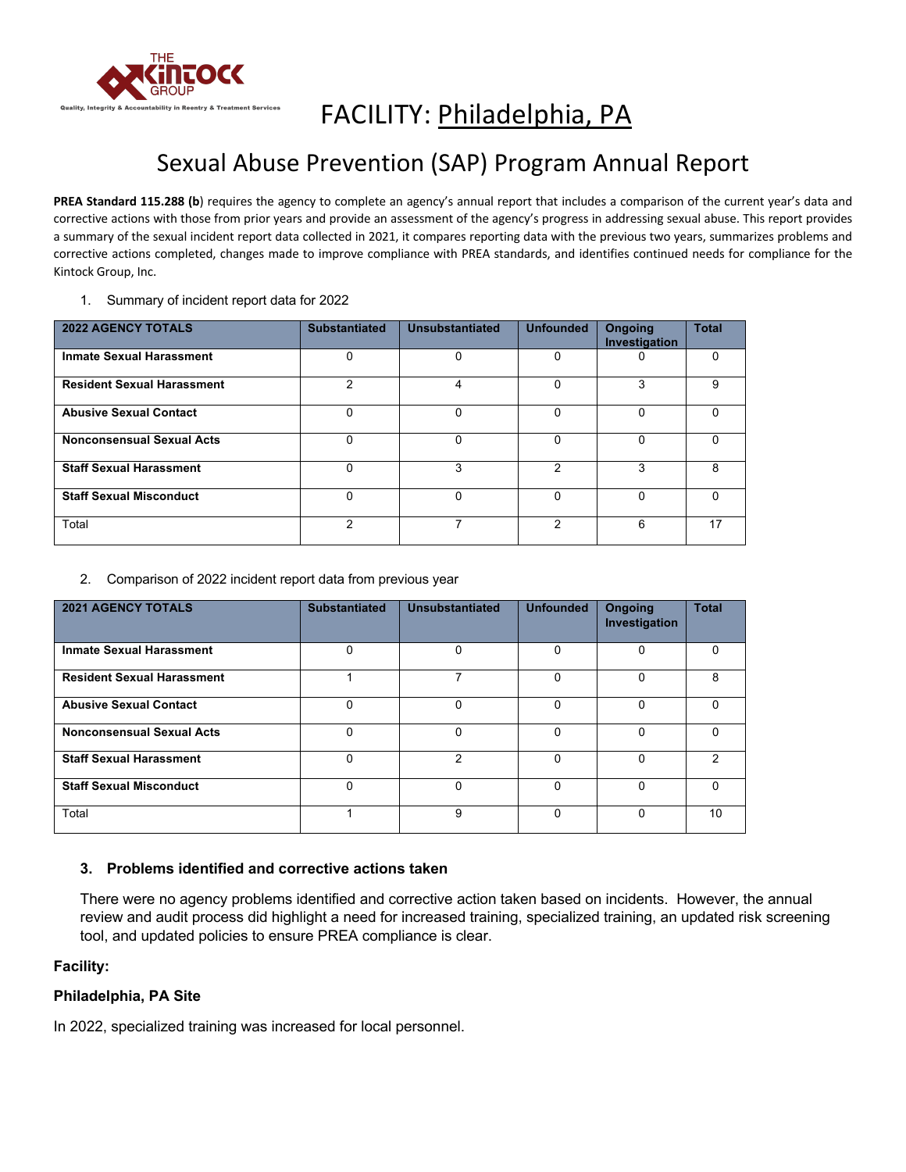

# FACILITY: Philadelphia, PA

## Sexual Abuse Prevention (SAP) Program Annual Report

PREA Standard 115.288 (b) requires the agency to complete an agency's annual report that includes a comparison of the current year's data and corrective actions with those from prior years and provide an assessment of the agency's progress in addressing sexual abuse. This report provides a summary of the sexual incident report data collected in 2021, it compares reporting data with the previous two years, summarizes problems and corrective actions completed, changes made to improve compliance with PREA standards, and identifies continued needs for compliance for the Kintock Group, Inc.

1. Summary of incident report data for 2022

| <b>2022 AGENCY TOTALS</b>         | <b>Substantiated</b> | Unsubstantiated | <b>Unfounded</b> | <b>Ongoing</b><br>Investigation | <b>Total</b> |
|-----------------------------------|----------------------|-----------------|------------------|---------------------------------|--------------|
| <b>Inmate Sexual Harassment</b>   | 0                    | 0               | 0                |                                 | $\Omega$     |
| <b>Resident Sexual Harassment</b> | 2                    | 4               | $\Omega$         | 3                               | 9            |
| <b>Abusive Sexual Contact</b>     | 0                    | $\Omega$        | $\Omega$         | U                               | U            |
| <b>Nonconsensual Sexual Acts</b>  | $\Omega$             | $\Omega$        | $\Omega$         | U                               | U            |
| <b>Staff Sexual Harassment</b>    | 0                    | 3               | 2                | 3                               | 8            |
| <b>Staff Sexual Misconduct</b>    | $\Omega$             | $\Omega$        | $\Omega$         | U                               | <sup>0</sup> |
| Total                             | 2                    |                 | 2                | 6                               | 17           |

2. Comparison of 2022 incident report data from previous year

| <b>2021 AGENCY TOTALS</b>         | <b>Substantiated</b> | Unsubstantiated | <b>Unfounded</b> | <b>Ongoing</b><br>Investigation | <b>Total</b> |
|-----------------------------------|----------------------|-----------------|------------------|---------------------------------|--------------|
| <b>Inmate Sexual Harassment</b>   | $\Omega$             | $\Omega$        | $\Omega$         | $\Omega$                        | $\Omega$     |
| <b>Resident Sexual Harassment</b> |                      |                 | O                | 0                               | 8            |
| <b>Abusive Sexual Contact</b>     | 0                    | $\Omega$        | $\Omega$         | $\Omega$                        | $\Omega$     |
| <b>Nonconsensual Sexual Acts</b>  | $\Omega$             | $\Omega$        | $\Omega$         | $\Omega$                        | $\Omega$     |
| <b>Staff Sexual Harassment</b>    | 0                    | 2               | O                | 0                               | 2            |
| <b>Staff Sexual Misconduct</b>    | $\Omega$             | $\Omega$        | $\Omega$         | $\Omega$                        | $\Omega$     |
| Total                             |                      | 9               | U                | $\Omega$                        | 10           |

### **3. Problems identified and corrective actions taken**

There were no agency problems identified and corrective action taken based on incidents. However, the annual review and audit process did highlight a need for increased training, specialized training, an updated risk screening tool, and updated policies to ensure PREA compliance is clear.

### **Facility:**

### **Philadelphia, PA Site**

In 2022, specialized training was increased for local personnel.